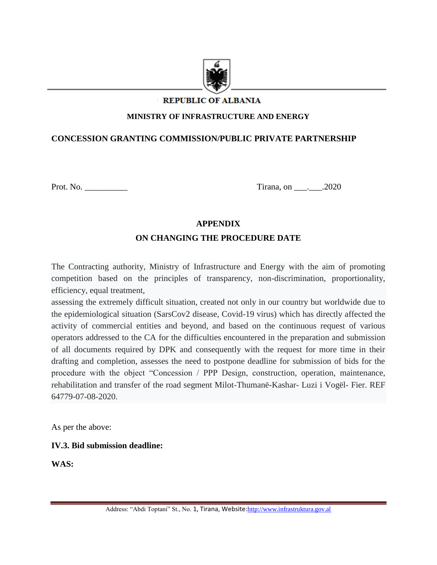

# **REPUBLIC OF ALBANIA**

#### **MINISTRY OF INFRASTRUCTURE AND ENERGY**

#### **CONCESSION GRANTING COMMISSION/PUBLIC PRIVATE PARTNERSHIP**

Prot. No. \_\_\_\_\_\_\_\_\_\_ Tirana, on \_\_\_.\_\_\_.2020

# **APPENDIX ON CHANGING THE PROCEDURE DATE**

The Contracting authority, Ministry of Infrastructure and Energy with the aim of promoting competition based on the principles of transparency, non-discrimination, proportionality, efficiency, equal treatment,

assessing the extremely difficult situation, created not only in our country but worldwide due to the epidemiological situation (SarsCov2 disease, Covid-19 virus) which has directly affected the activity of commercial entities and beyond, and based on the continuous request of various operators addressed to the CA for the difficulties encountered in the preparation and submission of all documents required by DPK and consequently with the request for more time in their drafting and completion, assesses the need to postpone deadline for submission of bids for the procedure with the object "Concession / PPP Design, construction, operation, maintenance, rehabilitation and transfer of the road segment Milot-Thumanë-Kashar- Luzi i Vogël- Fier. REF 64779-07-08-2020.

As per the above:

#### **IV.3. Bid submission deadline:**

**WAS:**